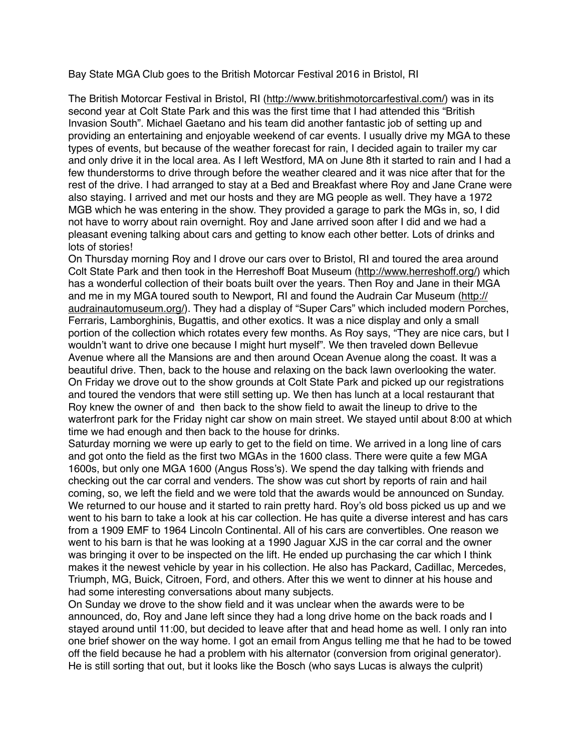Bay State MGA Club goes to the British Motorcar Festival 2016 in Bristol, RI

The British Motorcar Festival in Bristol, RI [\(http://www.britishmotorcarfestival.com/\)](http://www.britishmotorcarfestival.com/) was in its second year at Colt State Park and this was the first time that I had attended this "British Invasion South". Michael Gaetano and his team did another fantastic job of setting up and providing an entertaining and enjoyable weekend of car events. I usually drive my MGA to these types of events, but because of the weather forecast for rain, I decided again to trailer my car and only drive it in the local area. As I left Westford, MA on June 8th it started to rain and I had a few thunderstorms to drive through before the weather cleared and it was nice after that for the rest of the drive. I had arranged to stay at a Bed and Breakfast where Roy and Jane Crane were also staying. I arrived and met our hosts and they are MG people as well. They have a 1972 MGB which he was entering in the show. They provided a garage to park the MGs in, so, I did not have to worry about rain overnight. Roy and Jane arrived soon after I did and we had a pleasant evening talking about cars and getting to know each other better. Lots of drinks and lots of stories!

On Thursday morning Roy and I drove our cars over to Bristol, RI and toured the area around Colt State Park and then took in the Herreshoff Boat Museum ([http://www.herreshoff.org/\)](http://www.herreshoff.org/) which has a wonderful collection of their boats built over the years. Then Roy and Jane in their MGA [and me in my MGA toured south to Newport, RI and found the Audrain Car Museum \(http://](http://audrainautomuseum.org/) audrainautomuseum.org/). They had a display of "Super Cars" which included modern Porches, Ferraris, Lamborghinis, Bugattis, and other exotics. It was a nice display and only a small portion of the collection which rotates every few months. As Roy says, "They are nice cars, but I wouldn't want to drive one because I might hurt myself". We then traveled down Bellevue Avenue where all the Mansions are and then around Ocean Avenue along the coast. It was a beautiful drive. Then, back to the house and relaxing on the back lawn overlooking the water. On Friday we drove out to the show grounds at Colt State Park and picked up our registrations and toured the vendors that were still setting up. We then has lunch at a local restaurant that Roy knew the owner of and then back to the show field to await the lineup to drive to the waterfront park for the Friday night car show on main street. We stayed until about 8:00 at which time we had enough and then back to the house for drinks.

Saturday morning we were up early to get to the field on time. We arrived in a long line of cars and got onto the field as the first two MGAs in the 1600 class. There were quite a few MGA 1600s, but only one MGA 1600 (Angus Ross's). We spend the day talking with friends and checking out the car corral and venders. The show was cut short by reports of rain and hail coming, so, we left the field and we were told that the awards would be announced on Sunday. We returned to our house and it started to rain pretty hard. Roy's old boss picked us up and we went to his barn to take a look at his car collection. He has quite a diverse interest and has cars from a 1909 EMF to 1964 Lincoln Continental. All of his cars are convertibles. One reason we went to his barn is that he was looking at a 1990 Jaguar XJS in the car corral and the owner was bringing it over to be inspected on the lift. He ended up purchasing the car which I think makes it the newest vehicle by year in his collection. He also has Packard, Cadillac, Mercedes, Triumph, MG, Buick, Citroen, Ford, and others. After this we went to dinner at his house and had some interesting conversations about many subjects.

On Sunday we drove to the show field and it was unclear when the awards were to be announced, do, Roy and Jane left since they had a long drive home on the back roads and I stayed around until 11:00, but decided to leave after that and head home as well. I only ran into one brief shower on the way home. I got an email from Angus telling me that he had to be towed off the field because he had a problem with his alternator (conversion from original generator). He is still sorting that out, but it looks like the Bosch (who says Lucas is always the culprit)